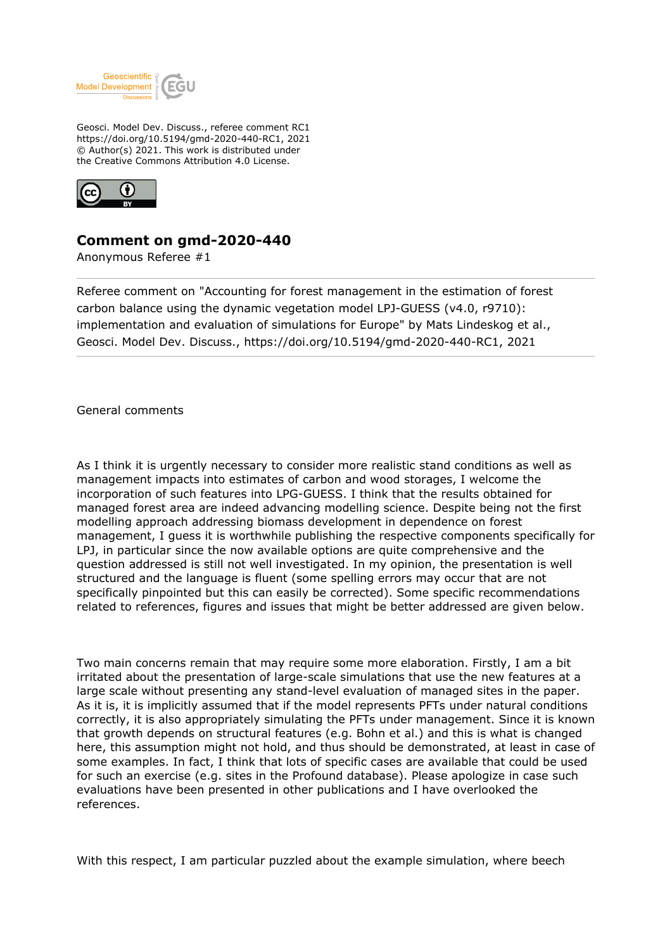

Geosci. Model Dev. Discuss., referee comment RC1 https://doi.org/10.5194/gmd-2020-440-RC1, 2021 © Author(s) 2021. This work is distributed under the Creative Commons Attribution 4.0 License.



## **Comment on gmd-2020-440**

Anonymous Referee #1

Referee comment on "Accounting for forest management in the estimation of forest carbon balance using the dynamic vegetation model LPJ-GUESS (v4.0, r9710): implementation and evaluation of simulations for Europe" by Mats Lindeskog et al., Geosci. Model Dev. Discuss., https://doi.org/10.5194/gmd-2020-440-RC1, 2021

General comments

As I think it is urgently necessary to consider more realistic stand conditions as well as management impacts into estimates of carbon and wood storages, I welcome the incorporation of such features into LPG-GUESS. I think that the results obtained for managed forest area are indeed advancing modelling science. Despite being not the first modelling approach addressing biomass development in dependence on forest management, I guess it is worthwhile publishing the respective components specifically for LPJ, in particular since the now available options are quite comprehensive and the question addressed is still not well investigated. In my opinion, the presentation is well structured and the language is fluent (some spelling errors may occur that are not specifically pinpointed but this can easily be corrected). Some specific recommendations related to references, figures and issues that might be better addressed are given below.

Two main concerns remain that may require some more elaboration. Firstly, I am a bit irritated about the presentation of large-scale simulations that use the new features at a large scale without presenting any stand-level evaluation of managed sites in the paper. As it is, it is implicitly assumed that if the model represents PFTs under natural conditions correctly, it is also appropriately simulating the PFTs under management. Since it is known that growth depends on structural features (e.g. Bohn et al.) and this is what is changed here, this assumption might not hold, and thus should be demonstrated, at least in case of some examples. In fact, I think that lots of specific cases are available that could be used for such an exercise (e.g. sites in the Profound database). Please apologize in case such evaluations have been presented in other publications and I have overlooked the references.

With this respect, I am particular puzzled about the example simulation, where beech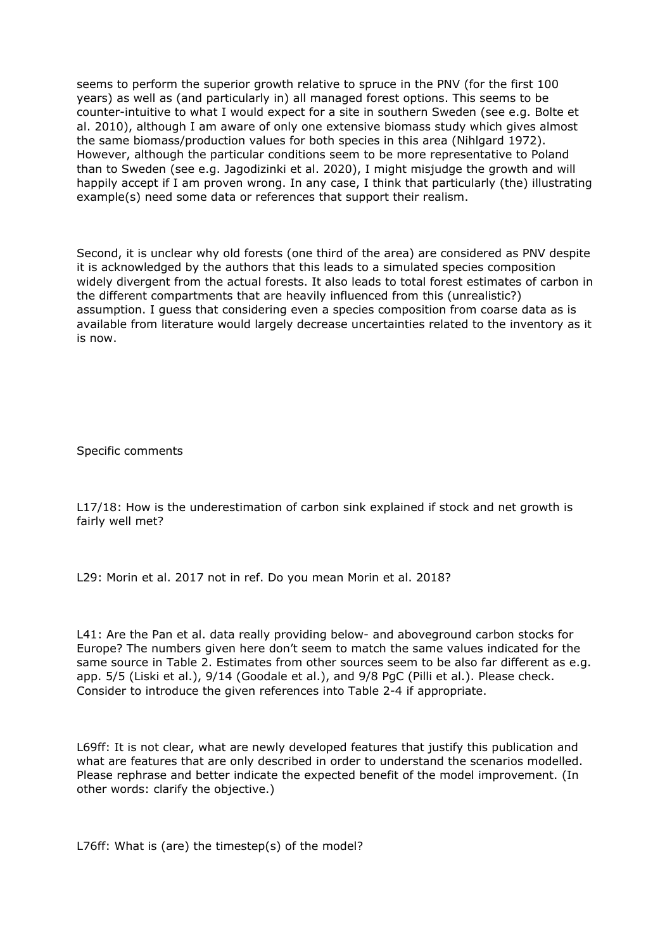seems to perform the superior growth relative to spruce in the PNV (for the first 100 years) as well as (and particularly in) all managed forest options. This seems to be counter-intuitive to what I would expect for a site in southern Sweden (see e.g. Bolte et al. 2010), although I am aware of only one extensive biomass study which gives almost the same biomass/production values for both species in this area (Nihlgard 1972). However, although the particular conditions seem to be more representative to Poland than to Sweden (see e.g. Jagodizinki et al. 2020), I might misjudge the growth and will happily accept if I am proven wrong. In any case, I think that particularly (the) illustrating example(s) need some data or references that support their realism.

Second, it is unclear why old forests (one third of the area) are considered as PNV despite it is acknowledged by the authors that this leads to a simulated species composition widely divergent from the actual forests. It also leads to total forest estimates of carbon in the different compartments that are heavily influenced from this (unrealistic?) assumption. I guess that considering even a species composition from coarse data as is available from literature would largely decrease uncertainties related to the inventory as it is now.

Specific comments

L17/18: How is the underestimation of carbon sink explained if stock and net growth is fairly well met?

L29: Morin et al. 2017 not in ref. Do you mean Morin et al. 2018?

L41: Are the Pan et al. data really providing below- and aboveground carbon stocks for Europe? The numbers given here don't seem to match the same values indicated for the same source in Table 2. Estimates from other sources seem to be also far different as e.g. app. 5/5 (Liski et al.), 9/14 (Goodale et al.), and 9/8 PgC (Pilli et al.). Please check. Consider to introduce the given references into Table 2-4 if appropriate.

L69ff: It is not clear, what are newly developed features that justify this publication and what are features that are only described in order to understand the scenarios modelled. Please rephrase and better indicate the expected benefit of the model improvement. (In other words: clarify the objective.)

L76ff: What is (are) the timestep(s) of the model?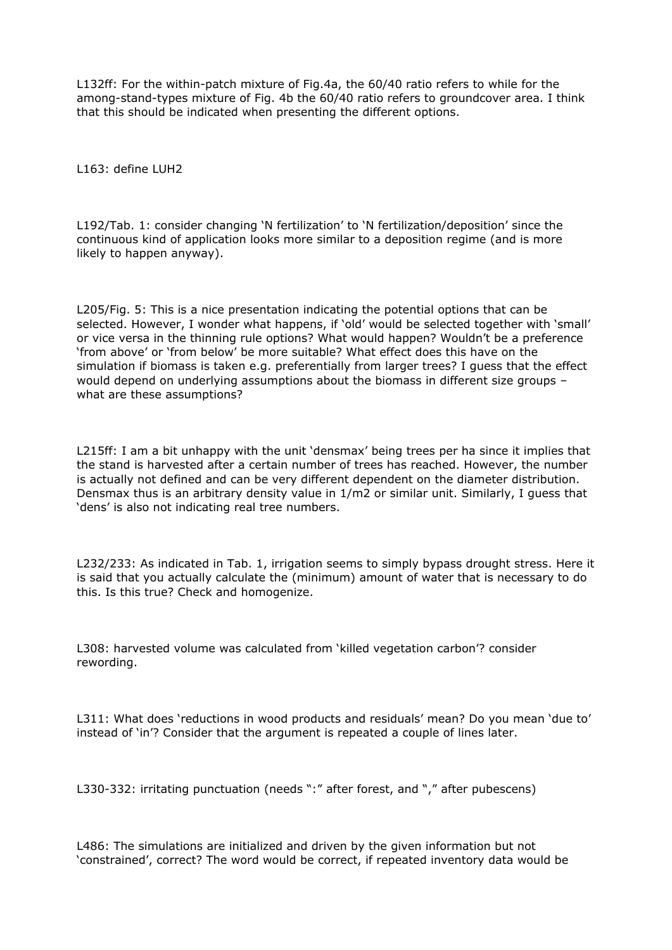L132ff: For the within-patch mixture of Fig.4a, the 60/40 ratio refers to while for the among-stand-types mixture of Fig. 4b the 60/40 ratio refers to groundcover area. I think that this should be indicated when presenting the different options.

L163: define LUH2

L192/Tab. 1: consider changing 'N fertilization' to 'N fertilization/deposition' since the continuous kind of application looks more similar to a deposition regime (and is more likely to happen anyway).

L205/Fig. 5: This is a nice presentation indicating the potential options that can be selected. However, I wonder what happens, if 'old' would be selected together with 'small' or vice versa in the thinning rule options? What would happen? Wouldn't be a preference 'from above' or 'from below' be more suitable? What effect does this have on the simulation if biomass is taken e.g. preferentially from larger trees? I guess that the effect would depend on underlying assumptions about the biomass in different size groups – what are these assumptions?

L215ff: I am a bit unhappy with the unit 'densmax' being trees per ha since it implies that the stand is harvested after a certain number of trees has reached. However, the number is actually not defined and can be very different dependent on the diameter distribution. Densmax thus is an arbitrary density value in 1/m2 or similar unit. Similarly, I guess that 'dens' is also not indicating real tree numbers.

L232/233: As indicated in Tab. 1, irrigation seems to simply bypass drought stress. Here it is said that you actually calculate the (minimum) amount of water that is necessary to do this. Is this true? Check and homogenize.

L308: harvested volume was calculated from 'killed vegetation carbon'? consider rewording.

L311: What does 'reductions in wood products and residuals' mean? Do you mean 'due to' instead of 'in'? Consider that the argument is repeated a couple of lines later.

L330-332: irritating punctuation (needs ":" after forest, and "," after pubescens)

L486: The simulations are initialized and driven by the given information but not 'constrained', correct? The word would be correct, if repeated inventory data would be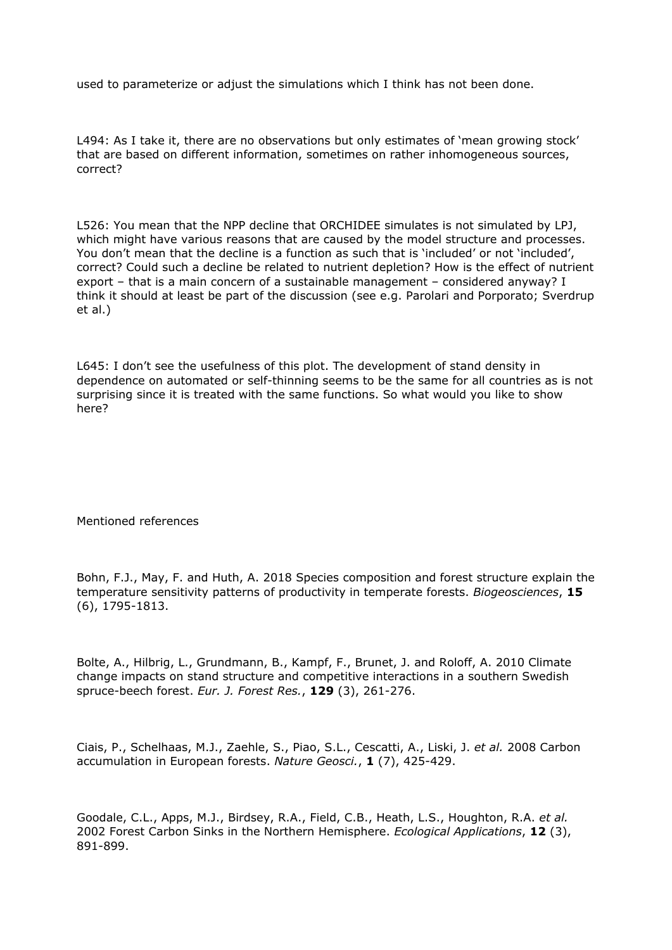used to parameterize or adjust the simulations which I think has not been done.

L494: As I take it, there are no observations but only estimates of 'mean growing stock' that are based on different information, sometimes on rather inhomogeneous sources, correct?

L526: You mean that the NPP decline that ORCHIDEE simulates is not simulated by LPJ, which might have various reasons that are caused by the model structure and processes. You don't mean that the decline is a function as such that is 'included' or not 'included', correct? Could such a decline be related to nutrient depletion? How is the effect of nutrient export – that is a main concern of a sustainable management – considered anyway? I think it should at least be part of the discussion (see e.g. Parolari and Porporato; Sverdrup et al.)

L645: I don't see the usefulness of this plot. The development of stand density in dependence on automated or self-thinning seems to be the same for all countries as is not surprising since it is treated with the same functions. So what would you like to show here?

## Mentioned references

Bohn, F.J., May, F. and Huth, A. 2018 Species composition and forest structure explain the temperature sensitivity patterns of productivity in temperate forests. *Biogeosciences*, **15** (6), 1795-1813.

Bolte, A., Hilbrig, L., Grundmann, B., Kampf, F., Brunet, J. and Roloff, A. 2010 Climate change impacts on stand structure and competitive interactions in a southern Swedish spruce-beech forest. *Eur. J. Forest Res.*, **129** (3), 261-276.

Ciais, P., Schelhaas, M.J., Zaehle, S., Piao, S.L., Cescatti, A., Liski, J. *et al.* 2008 Carbon accumulation in European forests. *Nature Geosci.*, **1** (7), 425-429.

Goodale, C.L., Apps, M.J., Birdsey, R.A., Field, C.B., Heath, L.S., Houghton, R.A. *et al.* 2002 Forest Carbon Sinks in the Northern Hemisphere. *Ecological Applications*, **12** (3), 891-899.